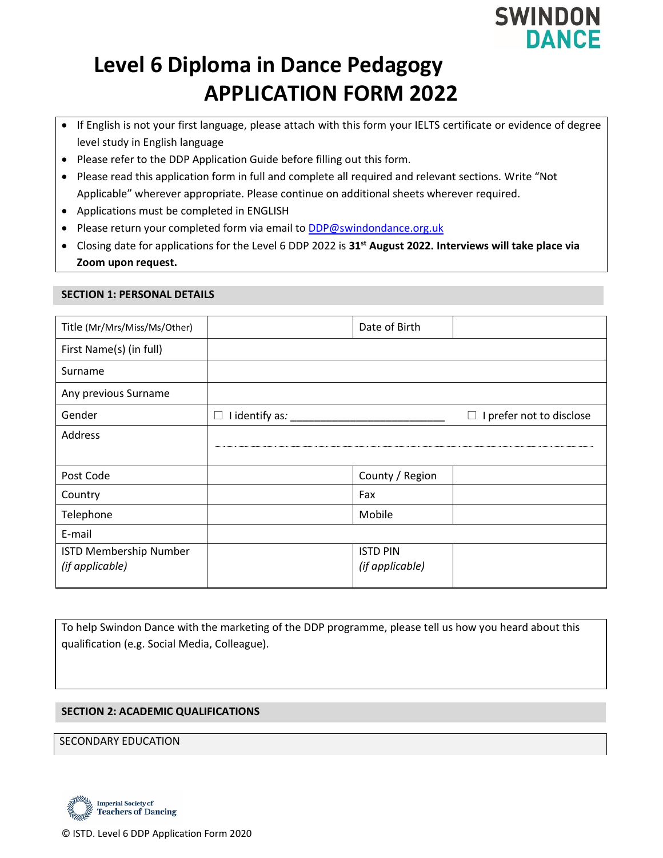

# **Level 6 Diploma in Dance Pedagogy APPLICATION FORM 2022**

- If English is not your first language, please attach with this form your IELTS certificate or evidence of degree level study in English language
- Please refer to the DDP Application Guide before filling out this form.
- Please read this application form in full and complete all required and relevant sections. Write "Not Applicable" wherever appropriate. Please continue on additional sheets wherever required.
- Applications must be completed in ENGLISH
- Please return your completed form via email to **DDP@swindondance.org.uk**
- Closing date for applications for the Level 6 DDP 2022 is **31st August 2022. Interviews will take place via Zoom upon request.**

#### **SECTION 1: PERSONAL DETAILS**

| Title (Mr/Mrs/Miss/Ms/Other)                     |                     | Date of Birth                      |                               |
|--------------------------------------------------|---------------------|------------------------------------|-------------------------------|
| First Name(s) (in full)                          |                     |                                    |                               |
| Surname                                          |                     |                                    |                               |
| Any previous Surname                             |                     |                                    |                               |
| Gender                                           | I identify as:<br>ப |                                    | I prefer not to disclose<br>⊔ |
| Address                                          |                     |                                    |                               |
|                                                  |                     |                                    |                               |
| Post Code                                        |                     | County / Region                    |                               |
| Country                                          |                     | Fax                                |                               |
| Telephone                                        |                     | Mobile                             |                               |
| E-mail                                           |                     |                                    |                               |
| <b>ISTD Membership Number</b><br>(if applicable) |                     | <b>ISTD PIN</b><br>(if applicable) |                               |

To help Swindon Dance with the marketing of the DDP programme, please tell us how you heard about this qualification (e.g. Social Media, Colleague).

#### **SECTION 2: ACADEMIC QUALIFICATIONS**

SECONDARY EDUCATION

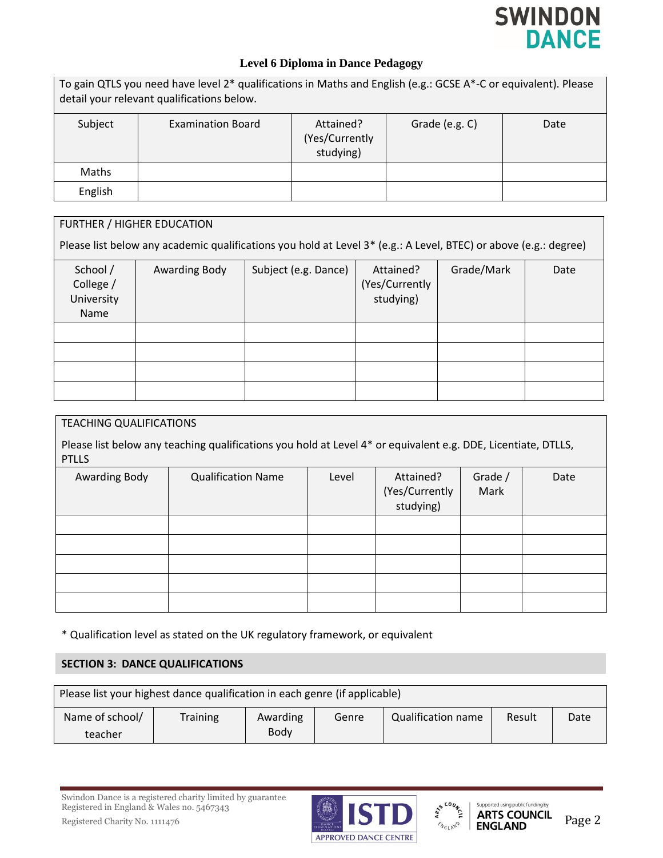

To gain QTLS you need have level 2\* qualifications in Maths and English (e.g.: GCSE A\*-C or equivalent). Please detail your relevant qualifications below.

| Subject | <b>Examination Board</b> | Attained?<br>(Yes/Currently<br>studying) | Grade (e.g. C) | Date |
|---------|--------------------------|------------------------------------------|----------------|------|
| Maths   |                          |                                          |                |      |
| English |                          |                                          |                |      |

| FURTHER / HIGHER EDUCATION                  |                      |                                                                                                                  |                                          |            |      |  |
|---------------------------------------------|----------------------|------------------------------------------------------------------------------------------------------------------|------------------------------------------|------------|------|--|
|                                             |                      | Please list below any academic qualifications you hold at Level 3* (e.g.: A Level, BTEC) or above (e.g.: degree) |                                          |            |      |  |
| School /<br>College /<br>University<br>Name | <b>Awarding Body</b> | Subject (e.g. Dance)                                                                                             | Attained?<br>(Yes/Currently<br>studying) | Grade/Mark | Date |  |
|                                             |                      |                                                                                                                  |                                          |            |      |  |
|                                             |                      |                                                                                                                  |                                          |            |      |  |
|                                             |                      |                                                                                                                  |                                          |            |      |  |
|                                             |                      |                                                                                                                  |                                          |            |      |  |

| <b>TEACHING QUALIFICATIONS</b> |                                                                                                               |       |                                          |                 |      |
|--------------------------------|---------------------------------------------------------------------------------------------------------------|-------|------------------------------------------|-----------------|------|
| <b>PTLLS</b>                   | Please list below any teaching qualifications you hold at Level 4* or equivalent e.g. DDE, Licentiate, DTLLS, |       |                                          |                 |      |
| Awarding Body                  | <b>Qualification Name</b>                                                                                     | Level | Attained?<br>(Yes/Currently<br>studying) | Grade /<br>Mark | Date |
|                                |                                                                                                               |       |                                          |                 |      |
|                                |                                                                                                               |       |                                          |                 |      |
|                                |                                                                                                               |       |                                          |                 |      |
|                                |                                                                                                               |       |                                          |                 |      |
|                                |                                                                                                               |       |                                          |                 |      |

\* Qualification level as stated on the UK regulatory framework, or equivalent

## **SECTION 3: DANCE QUALIFICATIONS**

| Please list your highest dance qualification in each genre (if applicable) |          |          |       |                           |        |      |
|----------------------------------------------------------------------------|----------|----------|-------|---------------------------|--------|------|
| Name of school/                                                            | Training | Awarding | Genre | <b>Qualification name</b> | Result | Date |
| teacher                                                                    |          | Body     |       |                           |        |      |

Swindon Dance is a registered charity limited by guarantee Registered in England & Wales no. 5467343





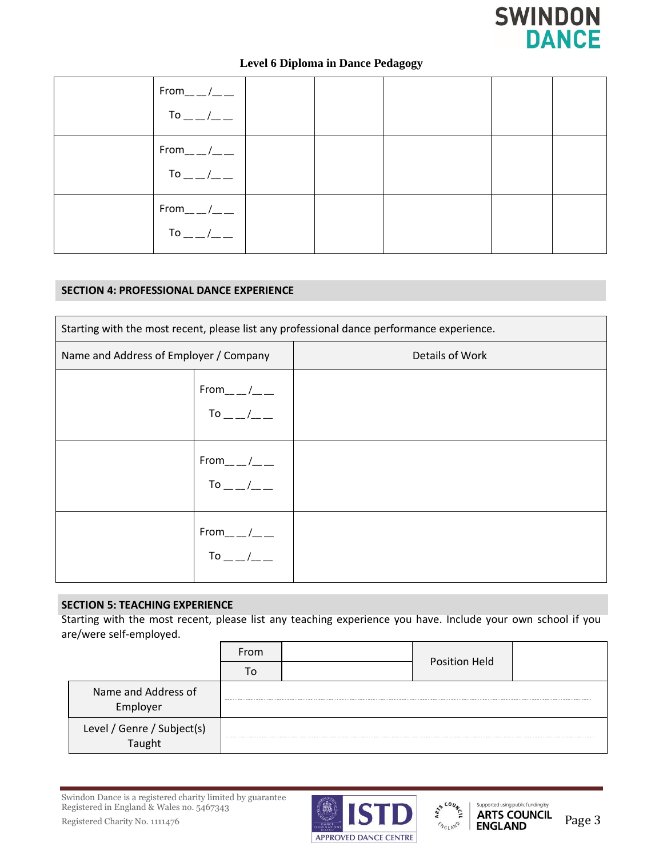

| $From$ <sub>__</sub> /__<br>To $_{---}/_{---}$ |  |  |  |
|------------------------------------------------|--|--|--|
| $From$ <sub>__</sub> /__<br>To $_{---}/_{---}$ |  |  |  |
| $From$ <sub>__</sub> /__<br>To $_{---}/_{---}$ |  |  |  |

## **SECTION 4: PROFESSIONAL DANCE EXPERIENCE**

| Starting with the most recent, please list any professional dance performance experience. |                                                                                                            |                 |  |
|-------------------------------------------------------------------------------------------|------------------------------------------------------------------------------------------------------------|-----------------|--|
| Name and Address of Employer / Company                                                    |                                                                                                            | Details of Work |  |
|                                                                                           | From___/__<br>To __/__                                                                                     |                 |  |
|                                                                                           | $From$ <sub>__</sub> /__<br>To __ /_ _                                                                     |                 |  |
|                                                                                           | $From$ <sub>__</sub> /__<br>$\begin{array}{c c} \text{To} & \text{---} & \text{---} \\ \hline \end{array}$ |                 |  |

## **SECTION 5: TEACHING EXPERIENCE**

Starting with the most recent, please list any teaching experience you have. Include your own school if you are/were self-employed.

|                                 | From | <b>Position Held</b> |  |
|---------------------------------|------|----------------------|--|
|                                 |      |                      |  |
| Name and Address of<br>Employer |      |                      |  |
| Level / Genre / Subject(s)      |      |                      |  |



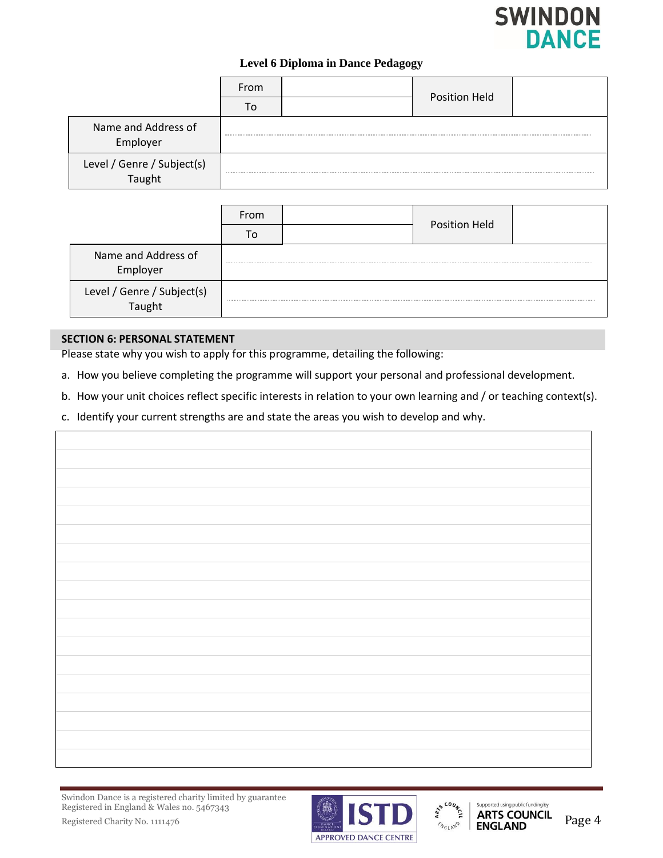

|                                      | From | Position Held |  |
|--------------------------------------|------|---------------|--|
|                                      |      |               |  |
| Name and Address of<br>Employer      |      |               |  |
| Level / Genre / Subject(s)<br>Taught |      |               |  |

|                                      | From | Position Held |  |
|--------------------------------------|------|---------------|--|
|                                      |      |               |  |
| Name and Address of<br>Employer      |      |               |  |
| Level / Genre / Subject(s)<br>Taught |      |               |  |

## **SECTION 6: PERSONAL STATEMENT**

Please state why you wish to apply for this programme, detailing the following:

- a. How you believe completing the programme will support your personal and professional development.
- b. How your unit choices reflect specific interests in relation to your own learning and / or teaching context(s).
- c. Identify your current strengths are and state the areas you wish to develop and why.



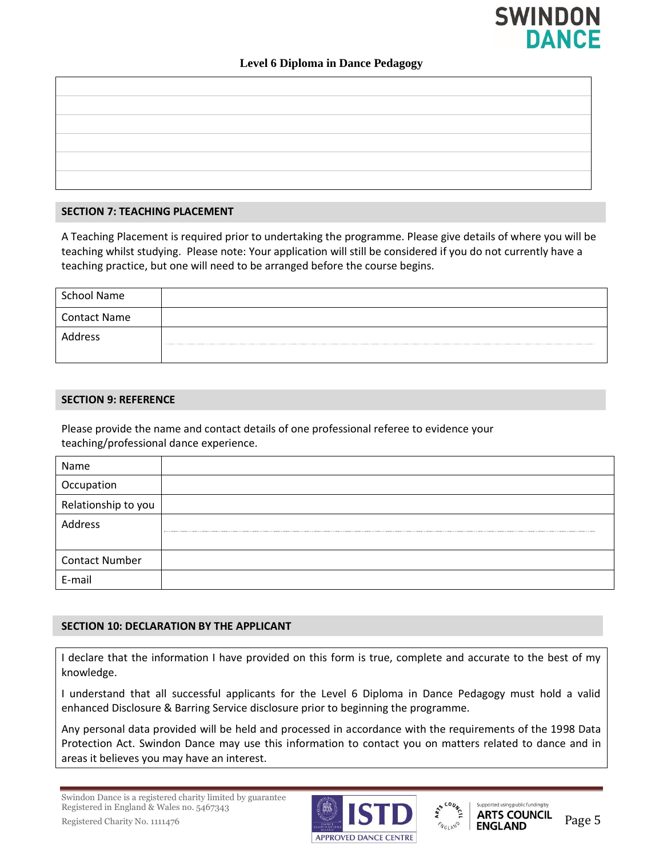## **SWINDON DANCE**

#### **Level 6 Diploma in Dance Pedagogy**

#### **SECTION 7: TEACHING PLACEMENT**

A Teaching Placement is required prior to undertaking the programme. Please give details of where you will be teaching whilst studying. Please note: Your application will still be considered if you do not currently have a teaching practice, but one will need to be arranged before the course begins.

| School Name         |  |
|---------------------|--|
| <b>Contact Name</b> |  |
| Address             |  |

#### **SECTION 9: REFERENCE**

Please provide the name and contact details of one professional referee to evidence your teaching/professional dance experience.

| Name                  |  |
|-----------------------|--|
| Occupation            |  |
| Relationship to you   |  |
| Address               |  |
|                       |  |
| <b>Contact Number</b> |  |
| E-mail                |  |

#### **SECTION 10: DECLARATION BY THE APPLICANT**

I declare that the information I have provided on this form is true, complete and accurate to the best of my knowledge.

I understand that all successful applicants for the Level 6 Diploma in Dance Pedagogy must hold a valid enhanced Disclosure & Barring Service disclosure prior to beginning the programme.

Any personal data provided will be held and processed in accordance with the requirements of the 1998 Data Protection Act. Swindon Dance may use this information to contact you on matters related to dance and in areas it believes you may have an interest.





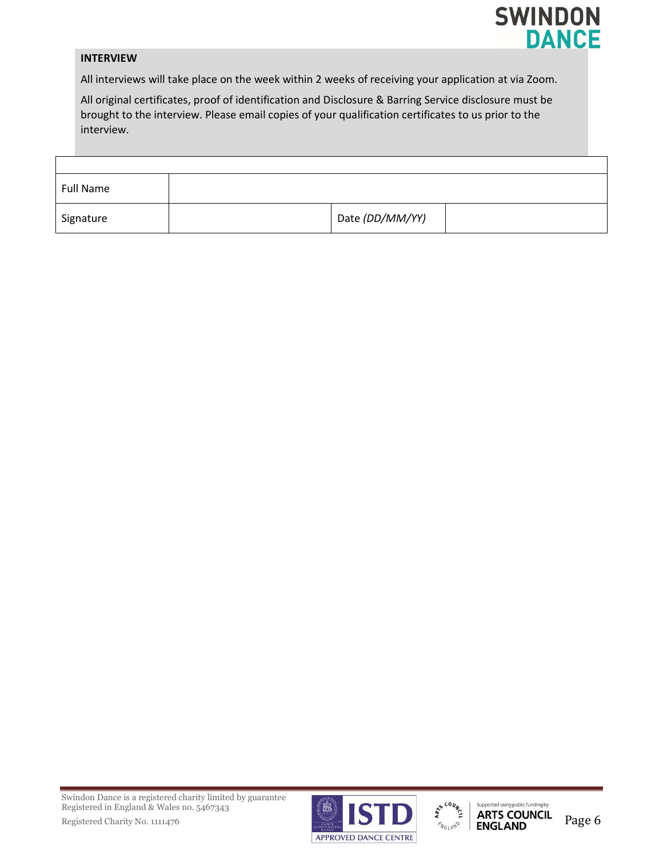

#### **INTERVIEW**

All interviews will take place on the week within 2 weeks of receiving your application at via Zoom.

All original certificates, proof of identification and Disclosure & Barring Service disclosure must be brought to the interview. Please email copies of your qualification certificates to us prior to the interview.

| <b>Full Name</b> |                 |  |
|------------------|-----------------|--|
| Signature        | Date (DD/MM/YY) |  |

Swindon Dance is a registered charity limited by guarantee Registered in England & Wales no. 5467343



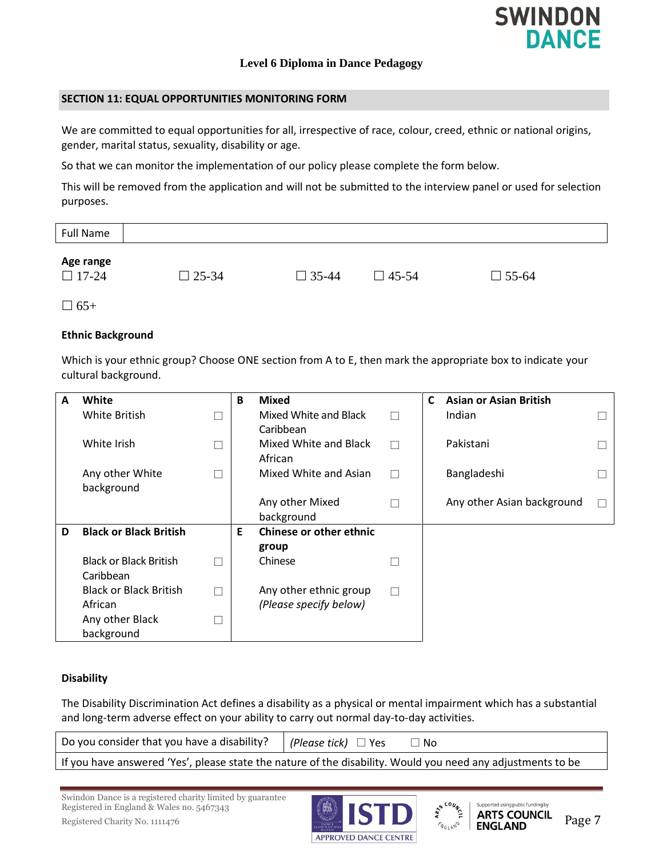

#### **SECTION 11: EQUAL OPPORTUNITIES MONITORING FORM**

We are committed to equal opportunities for all, irrespective of race, colour, creed, ethnic or national origins, gender, marital status, sexuality, disability or age.

So that we can monitor the implementation of our policy please complete the form below.

This will be removed from the application and will not be submitted to the interview panel or used for selection purposes.

| <b>Full Name</b>                        |              |              |              |              |  |
|-----------------------------------------|--------------|--------------|--------------|--------------|--|
| Age range<br>$\overline{\square}$ 17-24 | $\Box$ 25-34 | $\Box$ 35-44 | $\Box$ 45-54 | $\Box$ 55-64 |  |

 $\Box$  65+

#### **Ethnic Background**

Which is your ethnic group? Choose ONE section from A to E, then mark the appropriate box to indicate your cultural background.

| A | White                         | B  | <b>Mixed</b>                   |   | C | <b>Asian or Asian British</b> |  |
|---|-------------------------------|----|--------------------------------|---|---|-------------------------------|--|
|   | White British                 |    | Mixed White and Black          | П |   | Indian                        |  |
|   |                               |    | Caribbean                      |   |   |                               |  |
|   | White Irish                   |    | Mixed White and Black          | П |   | Pakistani                     |  |
|   |                               |    | African                        |   |   |                               |  |
|   | Any other White               |    | Mixed White and Asian          | П |   | Bangladeshi                   |  |
|   | background                    |    |                                |   |   |                               |  |
|   |                               |    | Any other Mixed                |   |   | Any other Asian background    |  |
|   |                               |    | background                     |   |   |                               |  |
| D | <b>Black or Black British</b> | E. | <b>Chinese or other ethnic</b> |   |   |                               |  |
|   |                               |    | group                          |   |   |                               |  |
|   | <b>Black or Black British</b> |    | Chinese                        |   |   |                               |  |
|   | Caribbean                     |    |                                |   |   |                               |  |
|   | <b>Black or Black British</b> |    | Any other ethnic group         | П |   |                               |  |
|   | African                       |    | (Please specify below)         |   |   |                               |  |
|   | Any other Black               |    |                                |   |   |                               |  |
|   | background                    |    |                                |   |   |                               |  |

#### **Disability**

The Disability Discrimination Act defines a disability as a physical or mental impairment which has a substantial and long-term adverse effect on your ability to carry out normal day-to-day activities.

| Do you consider that you have a disability? $ $ (Please tick) $\Box$ Yes                                    | $\Box$ No |
|-------------------------------------------------------------------------------------------------------------|-----------|
| If you have answered 'Yes', please state the nature of the disability. Would you need any adjustments to be |           |

Swindon Dance is a registered charity limited by guarantee Registered in England & Wales no. 5467343 Swindon Dance is a registered charity induced by guaranteed by the subset of the state of the Second Charity No. 1111476 Page 7